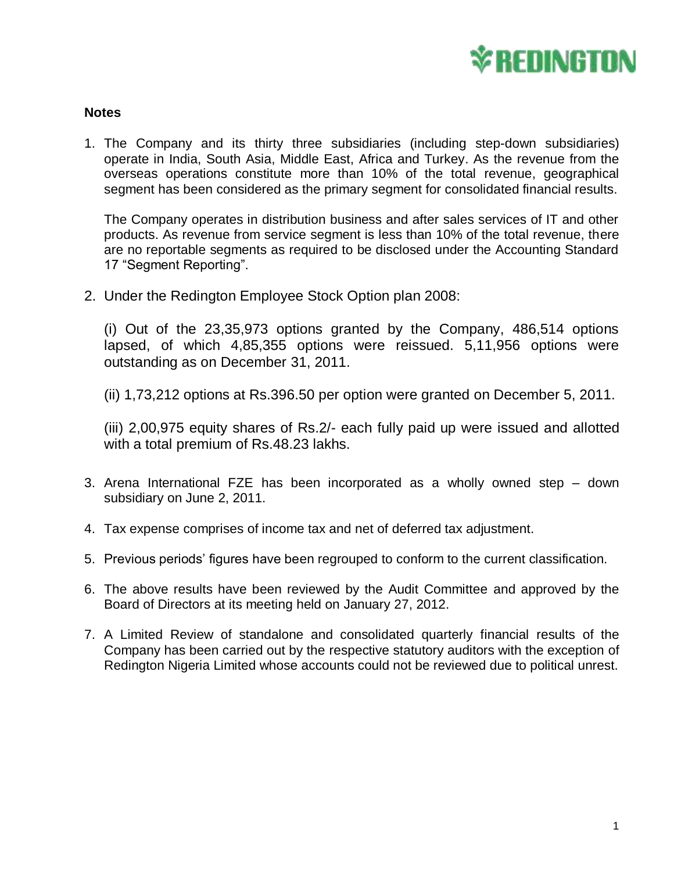

## **Notes**

1. The Company and its thirty three subsidiaries (including step-down subsidiaries) operate in India, South Asia, Middle East, Africa and Turkey. As the revenue from the overseas operations constitute more than 10% of the total revenue, geographical segment has been considered as the primary segment for consolidated financial results.

The Company operates in distribution business and after sales services of IT and other products. As revenue from service segment is less than 10% of the total revenue, there are no reportable segments as required to be disclosed under the Accounting Standard 17 "Segment Reporting".

2. Under the Redington Employee Stock Option plan 2008:

(i) Out of the 23,35,973 options granted by the Company, 486,514 options lapsed, of which 4,85,355 options were reissued. 5,11,956 options were outstanding as on December 31, 2011.

(ii) 1,73,212 options at Rs.396.50 per option were granted on December 5, 2011.

(iii) 2,00,975 equity shares of Rs.2/- each fully paid up were issued and allotted with a total premium of Rs.48.23 lakhs.

- 3. Arena International FZE has been incorporated as a wholly owned step down subsidiary on June 2, 2011.
- 4. Tax expense comprises of income tax and net of deferred tax adjustment.
- 5. Previous periods' figures have been regrouped to conform to the current classification.
- 6. The above results have been reviewed by the Audit Committee and approved by the Board of Directors at its meeting held on January 27, 2012.
- 7. A Limited Review of standalone and consolidated quarterly financial results of the Company has been carried out by the respective statutory auditors with the exception of Redington Nigeria Limited whose accounts could not be reviewed due to political unrest.